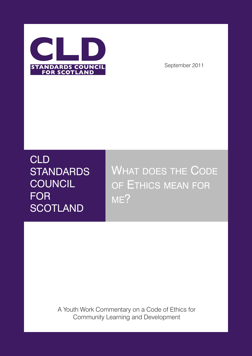

September 2011

CLD **STANDARDS COUNCIL** FOR **SCOTLAND** 

WHAT DOES THE CODE OF ETHICS MEAN FOR ME?

A Youth Work Commentary on a Code of Ethics for Community Learning and Development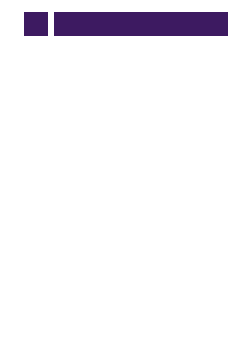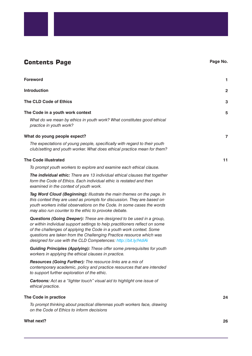# **Contents Page**

| <b>Foreword</b>                                                                                                                                                                                                                                                                                                                                                       | 1              |
|-----------------------------------------------------------------------------------------------------------------------------------------------------------------------------------------------------------------------------------------------------------------------------------------------------------------------------------------------------------------------|----------------|
| <b>Introduction</b>                                                                                                                                                                                                                                                                                                                                                   | $\overline{2}$ |
| <b>The CLD Code of Ethics</b>                                                                                                                                                                                                                                                                                                                                         | 3              |
| The Code in a youth work context                                                                                                                                                                                                                                                                                                                                      | 5              |
| What do we mean by ethics in youth work? What constitutes good ethical<br>practice in youth work?                                                                                                                                                                                                                                                                     |                |
| What do young people expect?                                                                                                                                                                                                                                                                                                                                          | 7              |
| The expectations of young people, specifically with regard to their youth<br>club/setting and youth worker. What does ethical practice mean for them?                                                                                                                                                                                                                 |                |
| <b>The Code illustrated</b>                                                                                                                                                                                                                                                                                                                                           | 11             |
| To prompt youth workers to explore and examine each ethical clause.                                                                                                                                                                                                                                                                                                   |                |
| The individual ethic: There are 13 individual ethical clauses that together<br>form the Code of Ethics. Each individual ethic is restated and then<br>examined in the context of youth work.                                                                                                                                                                          |                |
| Tag Word Cloud (Beginning): Illustrate the main themes on the page. In<br>this context they are used as prompts for discussion. They are based on<br>youth workers initial observations on the Code. In some cases the words<br>may also run counter to the ethic to provoke debate.                                                                                  |                |
| Questions (Going Deeper): These are designed to be used in a group,<br>or within individual support settings to help practitioners reflect on some<br>of the challenges of applying the Code in a youth work context. Some<br>questions are taken from the Challenging Practice resource which was<br>designed for use with the CLD Competences: http://bit.ly/f4diAi |                |
| <b>Guiding Principles (Applying): These offer some prerequisites for youth</b><br>workers in applying the ethical clauses in practice.                                                                                                                                                                                                                                |                |
| Resources (Going Further): The resource links are a mix of<br>contemporary academic, policy and practice resources that are intended<br>to support further exploration of the ethic.                                                                                                                                                                                  |                |
| Cartoons: Act as a "lighter touch" visual aid to highlight one issue of<br>ethical practice.                                                                                                                                                                                                                                                                          |                |
| The Code in practice                                                                                                                                                                                                                                                                                                                                                  | 24             |
| To prompt thinking about practical dilemmas youth workers face, drawing<br>on the Code of Ethics to inform decisions                                                                                                                                                                                                                                                  |                |
| What next?                                                                                                                                                                                                                                                                                                                                                            | 26             |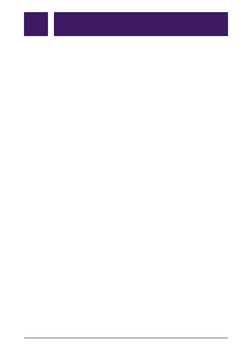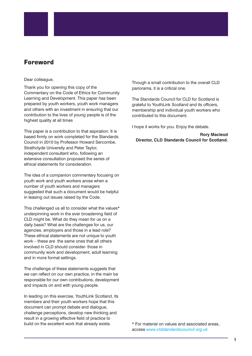## **Foreword**

#### Dear colleague,

Thank you for opening this copy of the Commentary on the Code of Ethics for Community Learning and Development. This paper has been prepared by youth workers, youth work managers and others with an investment in ensuring that our contribution to the lives of young people is of the highest quality at all times

This paper is a contribution to that aspiration. It is based firmly on work completed for the Standards Council in 2010 by Professor Howard Sercombe, Strathclyde University and Peter Taylor, independent consultant who, following an extensive consultation proposed the series of ethical statements for consideration.

The idea of a companion commentary focusing on youth work and youth workers arose when a number of youth workers and managers suggested that such a document would be helpful in teasing out issues raised by the Code.

This challenged us all to consider what the values\* underpinning work in the ever broadening field of CLD might be. What do they mean for us on a daily basis? What are the challenges for us, our agencies, employers and those in a lead role? These ethical statements are not unique to youth work – these are the same ones that all others involved in CLD should consider- those in community work and development, adult learning and in more formal settings.

The challenge of these statements suggests that we can reflect on our own practice, in the main be responsible for our own contributions, development and impacts on and with young people.

In leading on this exercise, YouthLink Scotland, its members and their youth workers hope that this document can prompt debate and dialogue, challenge perceptions, develop new thinking and result in a growing effective field of practice to build on the excellent work that already exists.

Though a small contribution to the overall CLD panorama, it is a critical one.

The Standards Council for CLD for Scotland is grateful to YouthLink Scotland and its officers, membership and individual youth workers who contributed to this document.

I hope it works for you. Enjoy the debate.

**Rory Macleod Director, CLD Standards Council for Scotland.**

\* For material on values and associated areas, access *www.cldstandardscouncil.org.uk*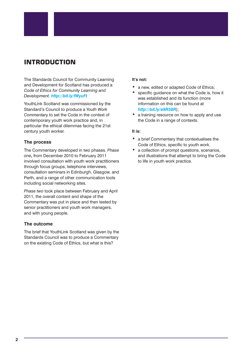# **INTRODUCTION**

The Standards Council for Community Learning and Development for Scotland has produced a *Code of Ethics for Community Learning and Development. http://bit.ly/fWyuFt*

YouthLink Scotland was commissioned by the Standard's Council to produce a *Youth Work Commentar*y to set the Code in the context of contemporary youth work practice and, in particular the ethical dilemmas facing the 21st century youth worker.

### **The process**

The Commentary developed in two phases. *Phase one***,** from December 2010 to February 2011 involved consultation with youth work practitioners through focus groups, telephone interviews, consultation seminars in Edinburgh, Glasgow, and Perth, and a range of other communication tools including social networking sites.

*Phase two* took place between February and April 2011, the overall content and shape of the Commentary was put in place and then tested by senior practitioners and youth work managers, and with young people.

### **The outcome**

The brief that YouthLink Scotland was given by the Standards Council was to produce a Commentary on the existing Code of Ethics, but what is this?

#### **It's not:**

- a new, edited or adapted Code of Ethics;
- specific guidance on what the Code is, how it was established and its function (more information on this can be found at *http://bit.ly/e9R58R*);
- a training resource on how to apply and use the Code in a range of contexts.

#### **It is:**

- a brief Commentary that contextualises the Code of Ethics, specific to youth work.
- a collection of prompt questions, scenarios, and illustrations that attempt to bring the Code to life in youth work practice.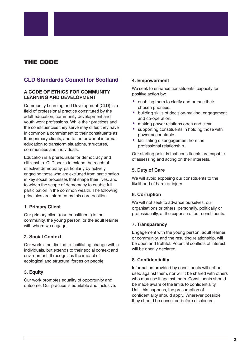# **THE CODE**

## **CLD Standards Council for Scotland**

### **A CODE OF ETHICS FOR COMMUNITY LEARNING AND DEVELOPMENT**

Community Learning and Development (CLD) is a field of professional practice constituted by the adult education, community development and youth work professions. While their practices and the constituencies they serve may differ, they have in common a commitment to their constituents as their primary clients, and to the power of informal education to transform situations, structures, communities and individuals.

Education is a prerequisite for democracy and citizenship. CLD seeks to extend the reach of effective democracy, particularly by actively engaging those who are excluded from participation in key social processes that shape their lives, and to widen the scope of democracy to enable full participation in the common wealth. The following principles are informed by this core position.

### **1. Primary Client**

Our primary client (our 'constituent') is the community, the young person, or the adult learner with whom we engage.

### **2. Social Context**

Our work is not limited to facilitating change within individuals, but extends to their social context and environment. It recognises the impact of ecological and structural forces on people.

### **3. Equity**

Our work promotes equality of opportunity and outcome. Our practice is equitable and inclusive.

### **4. Empowerment**

We seek to enhance constituents' capacity for positive action by:

- enabling them to clarify and pursue their chosen priorities.
- building skills of decision-making, engagement and co-operation.
- making power relations open and clear
- supporting constituents in holding those with power accountable.
- facilitating disengagement from the professional relationship.

Our starting point is that constituents are capable of assessing and acting on their interests.

### **5. Duty of Care**

We will avoid exposing our constituents to the likelihood of harm or injury.

### **6. Corruption**

We will not seek to advance ourselves, our organisations or others, personally, politically or professionally, at the expense of our constituents.

### **7. Transparency**

Engagement with the young person, adult learner or community, and the resulting relationship, will be open and truthful. Potential conflicts of interest will be openly declared.

### **8. Confidentiality**

Information provided by constituents will not be used against them, nor will it be shared with others who may use it against them. Constituents should be made aware of the limits to confidentiality Until this happens, the presumption of confidentiality should apply. Wherever possible they should be consulted before disclosure.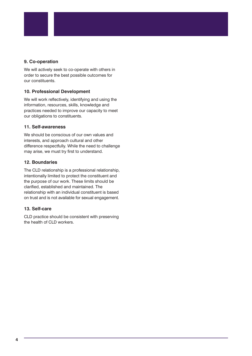### **9. Co-operation**

We will actively seek to co-operate with others in order to secure the best possible outcomes for our constituents.

### **10. Professional Development**

We will work reflectively, identifying and using the information, resources, skills, knowledge and practices needed to improve our capacity to meet our obligations to constituents.

### **11. Self-awareness**

We should be conscious of our own values and interests, and approach cultural and other difference respectfully. While the need to challenge may arise, we must try first to understand.

### **12. Boundaries**

The CLD relationship is a professional relationship, intentionally limited to protect the constituent and the purpose of our work. These limits should be clarified, established and maintained. The relationship with an individual constituent is based on trust and is not available for sexual engagement.

#### **13. Self-care**

CLD practice should be consistent with preserving the health of CLD workers.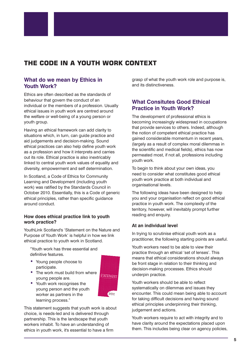# **THE CODE IN A YOUTH WORK CONTEXT**

### **What do we mean by Ethics in Youth Work?**

Ethics are often described as the standards of behaviour that govern the conduct of an individual or the members of a profession. Usually ethical issues in youth work are centred around the welfare or well-being of a young person or youth group.

Having an ethical framework can add clarity to situations which, in turn, can guide practice and aid judgements and decision-making. Sound ethical practices can also help define youth work as a profession and how it interprets and carries out its role. Ethical practice is also inextricably linked to central youth work values of equality and diversity, empowerment and self determination.

In Scotland, a Code of Ethics for Community Learning and Development (including youth work) was ratified by the Standards Council in October 2010. Essentially, this is a Code of generic ethical principles, rather than specific quidance around conduct.

### **How does ethical practice link to youth work practice?**

YouthLink Scotland's 'Statement on the Nature and Purpose of Youth Work' is helpful in how we link ethical practice to youth work in Scotland.

"Youth work has three essential and definitive features.

• Young people choose to participate.



young people are. • Youth work recognises the young person and the youth worker as partners in the learning process."

This statement suggests that youth work is about choice, is needs-led and is delivered through partnership. This is the landscape that youth workers inhabit. To have an understanding of ethics in youth work, it's essential to have a firm

grasp of what the youth work role and purpose is, and its distinctiveness.

### **What Consitutes Good Ethical Practice in Youth Work?**

The development of professional ethics is becoming increasingly widespread in occupations that provide services to others. Indeed, although the notion of competent ethical practice has gained considerable momentum in recent years, (largely as a result of complex moral dilemmas in the scientific and medical fields), ethics has now permeated most, if not all, professions including youth work.

To begin to think about your own ideas, you need to consider what constitutes good ethical youth work practice at both individual and organisational levels.

The following ideas have been designed to help you and your organisation reflect on good ethical practice in youth work. The complexity of the territory, however, will inevitably prompt further reading and enquiry.

### **At an individual level**

In trying to scrutinise ethical youth work as a practitioner, the following starting points are useful.

Youth workers need to be able to view their practice through an ethical 'set of lenses'. This means that ethical considerations should always be front stage in relation to their thinking and decision-making processes. Ethics should underpin practice.

Youth workers should be able to reflect systematically on dilemmas and issues they encounter. This could mean being able to account for taking difficult decisions and having sound ethical principles underpinning their thinking, judgement and actions.

Youth workers require to act with integrity and to have clarity around the expectations placed upon them. This includes being clear on agency policies,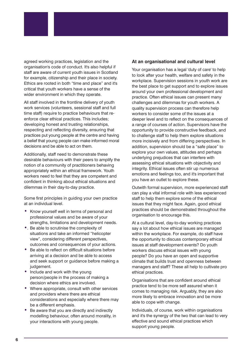agreed working practices, legislation and the organisation's code of conduct. It's also helpful if staff are aware of current youth issues in Scotland for example, citizenship and their place in society. Ethics are rooted in both "time and place" and it's critical that youth workers have a sense of the wider environment in which they operate.

All staff involved in the frontline delivery of youth work services (volunteers, sessional staff and full time staff) require to practice behaviours that reenforce clear ethical practices. This includes; developing honest and trusting relationships, respecting and reflecting diversity, ensuring that practices put young people at the centre and having a belief that young people can make informed moral decisions and be able to act on them.

Additionally, staff need to demonstrate these desirable behaviours with their peers to amplify the notion of a community of practitioners behaving appropriately within an ethical framework. Youth workers need to feel that they are competent and confident in thinking about ethical situations and dilemmas in their day-to-day practice.

Some first principles in guiding your own practice at an individual level.

- Know yourself well in terms of personal and professional values and be aware of your strengths, limitations and development needs.
- •. Be able to scrutinise the complexity of situations and take an informed "helicopter view", considering different perspectives, outcomes and consequences of your actions.
- Be able to reflect on difficult situations before arriving at a decision and be able to access and seek support or guidance before making a judgement.
- Include and work with the young person/people in the process of making a decision where ethics are involved.
- Where appropriate, consult with other services and providers where there are ethical considerations and especially where there may be a different emphasis.
- Be aware that you are directly and indirectly modelling behaviour, often around morality, in your interactions with young people.

### **At an organisational and cultural level**

Your organisation has a legal 'duty of care' to help to look after your health, welfare and safety in the workplace. Supervision sessions in youth work are the best place to get support and to explore issues around your own professional development and practice. Often ethical issues can present many challenges and dilemmas for youth workers. A quality supervision process can therefore help workers to consider some of the issues at a deeper level and to reflect on the consequences of a range of courses of action. Supervisors have the opportunity to provide constructive feedback, and to challenge staff to help them explore situations more incisively and from differing perspectives. In addition, supervision should be a "safe place" to explore your own values, attitudes and perhaps underlying prejudices that can interfere with assessing ethical situations with objectivity and integrity. Ethical issues often stir up numerous emotions and feelings too, and it's important that you have an outlet to explore these.

Outwith formal supervision, more experienced staff can play a vital informal role with less experienced staff to help them explore some of the ethical issues that they might face. Again, good ethical practices should be demonstrated throughout the organisation to encourage this.

At a cultural level, day-to-day working practices say a lot about how ethical issues are managed within the workplace. For example, do staff have the opportunity to discuss contemporary ethical issues at staff development events? Do youth workers discuss ethical issues with young people? Do you have an open and supportive climate that builds trust and openness between managers and staff? These all help to cultivate pro ethical practices.

Organisations that are confident around ethical practice tend to be more self assured when it comes to managing risk. Arguably, they are also more likely to embrace innovation and be more able to cope with change.

Individuals, of course, work within organisations and it's the synergy of the two that can lead to very effective and sound ethical practices which support young people.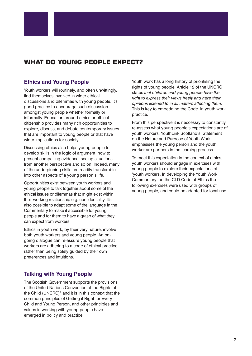# **WHAT DO YOUNG PEOPLE EXPECT?**

### **Ethics and Young People**

Youth workers will routinely, and often unwittingly, find themselves involved in wider ethical discussions and dilemmas with young people. It's good practice to encourage such discussion amongst young people whether formally or informally. Education around ethics or ethical citizenship provides many rich opportunities to explore, discuss, and debate contemporary issues that are important to young people or that have wider implications for society.

Discussing ethics also helps young people to develop skills in the logic of argument, how to present compelling evidence, seeing situations from another perspective and so on. Indeed, many of the underpinning skills are readily transferable into other aspects of a young person's life.

Opportunities exist between youth workers and young people to talk together about some of the ethical issues or dilemmas that might exist within their working relationship e.g. confidentiality. It's also possible to adapt some of the language in the Commentary to make it accessible for young people and for them to have a grasp of what they can expect from workers.

Ethics in youth work, by their very nature, involve both youth workers and young people. An ongoing dialogue can re-assure young people that workers are adhering to a code of ethical practice rather than being solely guided by their own preferences and intuitions.

## **Talking with Young People**

The Scottish Government supports the provisions of the United Nations Convention of the Rights of the Child  $(UNCRC)^1$  and it is in this context that the common principles of Getting it Right for Every Child and Young Person, and other principles and values in working with young people have emerged in policy and practice.

Youth work has a long history of prioritising the rights of young people. Article 12 of the UNCRC states *that children and young people have the right to express their views freely and have their opinions listened to in all matters affecting them.* This is key to embedding the Code in youth work practice.

From this perspective it is neccessry to constantly re-assess what young people's expectations are of youth workers. YouthLink Scotland's 'Statement on the Nature and Purpose of Youth Work' emphasises the young person and the youth worker are partners in the learning process.

To meet this expectation in the context of ethics, youth workers should engage in exercises with young people to explore their expectations of 'youth workers. In developing the Youth Work Commentary' on the CLD Code of Ethics the following exercises were used with groups of young people, and could be adapted for local use.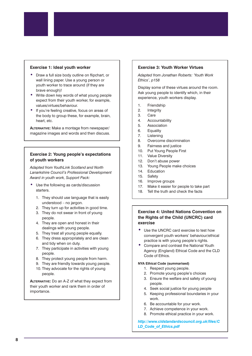#### **Exercise 1: Ideal youth worker**

- Draw a full size body outline on flipchart, or wall lining paper. Use a young person or youth worker to trace around (if they are brave enough)!
- Write down key words of what young people expect from their youth worker, for example, values/virtues/behaviour.
- If you're feeling creative, focus on areas of the body to group these, for example, brain, heart, etc.

**ALTERNATIVE:** Make a montage from newspaper/ magazine images and words and then discuss.

#### **Exercise 2: Young people's expectations of youth workers**

*Adapted from YouthLink Scotland and North Lanarkshire Council's Professional Development Award in youth work, Support Pack:*

- Use the following as cards/discussion starters.
	- 1. They should use language that is easily understood – no jargon.
	- 2. They turn up for activities in good time.
	- 3. They do not swear in front of young people.
	- 4. They are open and honest in their dealings with young people.
	- 5. They treat all young people equally.
	- 6. They dress appropriately and are clean and tidy when on duty.
	- 7. They participate in activities with young people.
	- 8. They protect young people from harm.
	- 9. They are friendly towards young people.
	- 10. They advocate for the rights of young people.

**ALTERNATIVE:** Do an A-Z of what they expect from their youth worker and rank them in order of importance.

#### **Exercise 3: Youth Worker Virtues**

*Adapted from Jonathan Roberts: 'Youth Work Ethics', p158*

Display some of these virtues around the room. Ask young people to identify which, in their experience, youth workers display.

- 1. Friendship
- 2. Integrity
- 3. Care
- 4. Accountability
- 5. Association
- 6. Equality
- 7. Listening
- 8. Overcome discrimination
- 9. Fairness and justice
- 10. Put Young People First
- 11. Value Diversity
- 12. Don't abuse power
- 13. Young People make choices
- 14. Education
- 15. Safety
- 16. Improve groups
- 17. Make it easier for people to take part
- 18. Tell the truth and check the facts

#### **Exercise 4: United Nations Convention on the Rights of the Child (UNCRC) card exercise**

- Use the UNCRC card exercise to test how convergent youth workers' behaviour/ethical practice is with young people's rights.
- Compare and contrast the National Youth Agency (England) Ethical Code and the CLD Code of Ethics.

#### **NYA Ethical Code (summarised)**

- 1. Respect young people.
- 2. Promote young people's choices
- 3. Ensure the welfare and safety of young people.
- 4. Seek social justice for young people
- 5. Keeping professional boundaries in your work.
- 6. Be accountable for your work.
- 7. Achieve competence in your work.
- 8. Promote ethical practice in your work.

*http://www.cldstandardscouncil.org.uk/files/C LD\_Code\_of\_Ethics.pdf*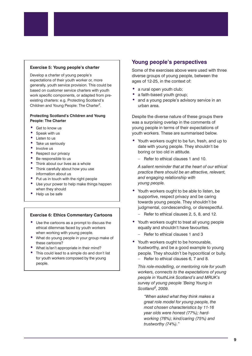#### **Exercise 5: Young people's charter**

Develop a charter of young people's expectations of their youth worker or, more generally, youth service provision. This could be based on customer service charters with youth work specific components, or adapted from preexisting charters: e.g. Protecting Scotland's Children and Young People: The Charter<sup>2</sup>.

#### **Protecting Scotland's Children and Young People: The Charter**

- Get to know us
- Speak with us
- Listen to us
- Take us seriously
- Involve us
- Respect our privacy
- Be responsible to us
- Think about our lives as a whole
- Think carefully about how you use information about us
- Put us in touch with the right people
- Use your power to help make things happen when they should
- Help us be safe

#### **Exercise 6: Ethics Commentary Cartoons**

- Use the cartoons as a prompt to discuss the ethical dilemmas faced by youth workers when working with young people.
- What do young people in your group make of these cartoons?
- What is/isn't appropriate in their mind?
- This could lead to a simple do and don't list for youth workers composed by the young people.

### **Young people's perspectives**

Some of the exercises above were used with three diverse groups of young people, between the ages of 12-25, in the context of:

- a rural open youth club;
- a faith-based youth group;
- and a young people's advisory service in an urban area.

Despite the diverse nature of these groups there was a surprising overlap in the comments of young people in terms of their expectations of youth workers. These are summarised below.

- Youth workers ought to be fun, fresh, and up to date with young people. They shouldn't be boring or too old in attitude.
	- Refer to ethical clauses 1 and 10.

*A salient reminder that at the heart of our ethical practice there should be an attractive, relevant, and engaging relationship with young people.*

- Youth workers ought to be able to listen, be supportive, respect privacy and be caring towards young people. They shouldn't be judgmental, condescending, or disrespectful.
	- Refer to ethical clauses 2, 5, 8, and 12.
- Youth workers ought to treat all young people equally and shouldn't have favourites.
	- Refer to ethical clauses 1 and 3
- Youth workers ought to be honourable, trustworthy, and be a good example to young people. They shouldn't be hypocritical or bully. – Refer to ethical clauses 6, 7 and 8.

*This role-modelling, or mentoring role for youth workers, connects to the expectations of young people in YouthLink Scotland's and MRUK's survey of young people 'Being Young in Scotland3 , 2009.*

*"When asked what they think makes a great role model for young people, the most chosen characteristics by 11-16 year olds were honest (77%); hardworking (76%); kind/caring (75%) and trustworthy (74%)."*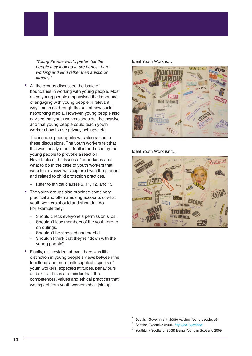*"Young People would prefer that the people they look up to are honest, hardworking and kind rather than artistic or famous."*

• All the groups discussed the issue of boundaries in working with young people. Most of the young people emphasised the importance of engaging with young people in relevant ways, such as through the use of new social networking media. However, young people also advised that youth workers shouldn't be invasive and that young people could teach youth workers how to use privacy settings, etc.

The issue of paedophilia was also raised in these discussions. The youth workers felt that this was mostly media-fuelled and used by the young people to provoke a reaction. Nevertheless, the issues of boundaries and what to do in the case of youth workers that were too invasive was explored with the groups, and related to child protection practices.

- Refer to ethical clauses 5, 11, 12, and 13.
- The youth groups also provided some very practical and often amusing accounts of what youth workers should and shouldn't do. For example they:
	- Should check everyone's permission slips.
	- Shouldn't lose members of the youth group on outings.
	- Shouldn't be stressed and crabbit.
	- Shouldn't think that they're "down with the young people".
- Finally, as is evident above, there was little distinction in young people's views between the functional and more philosophical aspects of youth workers, expected attitudes, behaviours and skills. This is a reminder that the competences, values and ethical practices that we expect from youth workers shall join up.

Ideal Youth Work is…



Ideal Youth Work isn't…



<sup>&</sup>lt;sup>1.</sup> Scottish Government (2009) Valuing Young people, p8.

<sup>2.</sup> Scottish Executive (2004) *http://bit.1y/rr6hod*

<sup>3.</sup> YouthLink Scotland (2009) Being Young in Scotland 2009.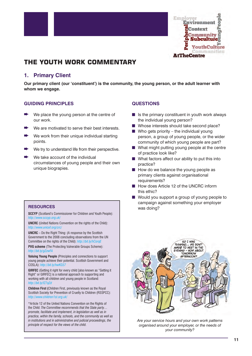

# **THE YOUTH WORK COMMENTARY**

### **1. Primary Client**

**Our primary client (our 'constituent') is the community, the young person, or the adult learner with whom we engage.**

### **GUIDING PRINCIPLES**

- We place the young person at the centre of our work.
- We are motivated to serve their best interests.
- We work from their unique individual starting points.
- We try to understand life from their perspective.
- We take account of the individual circumstances of young people and their own unique biograpies.

#### **RESOURCES**

**SCCYP** (Scotland's Commissioner for Children and Youth People): *http://www.sccyp.org.uk/*

**UNCRC** (United Nations Convention on the rights of the Child): *http://www.unicef.org/crc/*

**UNCRC** – Do the Right Thing: (A response by the Scottish Government to the 2008 concluding observations from the UN Committee on the rights of the Child): *http://bit.ly/hCorqE*

**PVG scheme** (The Protecting Vulnerable Groups Scheme): *http://bit.ly/gZzwFA*

**Valuing Young People** (Principles and connections to support young people achieve their potential. Scottish Government and COSLA): *http://bit.ly/hwKG57*

**GIRFEC** (Getting it right for every child [also known as "Getting it Right" or GIRFEC] is a national approach to supporting and working with all children and young people in Scotland: *http://bit.ly/fZ7qZd*

**Children First (**Children First, previously known as the Royal Scottish Society for Prevention of Cruelty to Children (RSSPCC): *http://www.children1st.org.uk/*

\*Article 12 of the United Nations Convention on the Rights of the Child: *The Committee recommends that the State party… promote, facilitate and implement, in legislation as well as in practice, within the family, schools, and the community as well as in institutions and in administrative and judicial proceedings, the principle of respect for the views of the child.*

### **QUESTIONS**

- $\blacksquare$  Is the primary constituent in youth work always the individual young person?
- Whose interests should take second place?
- $\blacksquare$  Who gets priority the individual young person, a group of young people, or the wider community of which young people are part?
- What might putting young people at the centre of practice look like?
- What factors affect our ability to put this into practice?
- How do we balance the young people as primary clients against organisational requirements?
- How does Article 12 of the UNCRC inform this ethic?
- Would you support a group of young people to campaign against something your employer was doing?



*Are your service hours and your own work patterns organised around your employer, or the needs of your community?*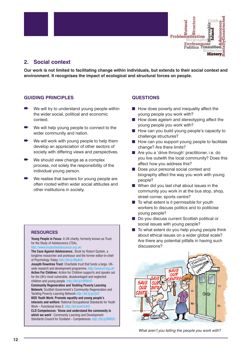

### **2. Social context**

**Our work is not limited to facilitating change within individuals, but extends to their social context and environment. It recognises the impact of ecological and structural forces on people.**

#### **GUIDING PRINCIPLES**

- We will try to understand young people within the wider social, political and economic context.
- We will help young people to connect to the wider community and nation.
- We will work with young people to help them develop an appreciation of other sectors of society with differing views and perspectives.
- We should view change as a complex process, not solely the responsibility of the individual young person.
- We realise that barriers for young people are often rooted within wider social attitudes and other institutions in society.

### **QUESTIONS**

- How does poverty and inequality affect the young people you work with?
- How does ageism and stereotyping affect the young people you work with?
- How can you build young people's capacity to challenge structures?
- How can you support young people to facilitate change? Are there limits?
- Are you a 'drive through' practitioner, i.e. do you live outwith the local community? Does this affect how you address this?
- Does your personal social context and biography affect the way you work with young people?
- When did you last chat about issues in the community you work in at the bus stop, shop, street corner, sports centre?
- To what extent is it permissible for youth workers to discuss politics and to politicise young people?
- Do you discuss current Scottish political or social issues with young people?
- To what extent do you help young people think about ethical issues on a wider global scale? Are there any potential pitfalls in having such discussions?



*What aren't you telling the people you work with?*

### **RESOURCES**

**Young People in Focus:** A UK charity, formerly known as Trust for the Study of Adolescence (TSA). *http://www.studyofadolescence.org.uk/* **The Case Against Adolescence:**, Book by Robert Epstein, a longtime researcher and professor and the former editor-in-chief of Psychology Today *http://bit.ly/f6p8vG* **Josepth Rowntree Trust:** Charitable trust that funds a large, UKwide research and development programme. *http://www.jrf.org.uk/* **Action For Children:** Action for Children supports and speaks out for the UK's most vulnerable, disadvantaged and neglected children and young people*. http://bit.ly/r5KWnO* **Community Regeneration and Tackling Poverty Learning Network:** Scottish Government's Community Regeneration and Tackling Poverty Learning Network http://bit.ly/gr2yf. **NOS Youth Work: Promote equality and young people's interests and welfare:** National Occupational Standards for Youth Work – Functional Area 2. *http://bit.ly/eVvUhS* **CLD Competences: 'Know and understand the community in which we work'**: Community Learning and Development Standards Council for Scotland – Competences. *http://bit.ly/flMlOU*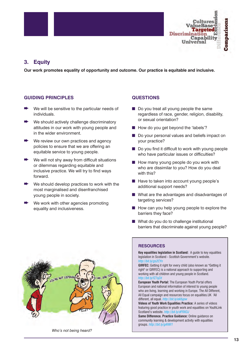

### **3. Equity**

**Our work promotes equality of opportunity and outcome. Our practice is equitable and inclusive.**

### **GUIDING PRINCIPLES**

- We will be sensitive to the particular needs of individuals.
- We should actively challenge discriminatory attitudes in our work with young people and in the wider environment.
- We review our own practices and agency policies to ensure that we are offering an equitable service to young people.
- We will not shy away from difficult situations or dilemmas regarding equitable and inclusive practice. We will try to find ways forward.
- We should develop practices to work with the most marginalised and disenfranchised young people in society.
- We work with other agencies promoting equality and inclusiveness.



*Who's not being heard?*

### **QUESTIONS**

- Do you treat all young people the same regardless of race, gender, religion, disability, or sexual orientation?
- How do you get beyond the 'labels'?
- Do your personal values and beliefs impact on your practice?
- Do you find it difficult to work with young people who have particular issues or difficulties?
- How many young people do you work with who are dissimilar to you? How do you deal with this?
- Have to taken into account young people's additional support needs?
- What are the advantages and disadvantages of targeting services?
- How can you help young people to explore the barriers they face?
- What do you do to challenge institutional barriers that discriminate against young people?

#### **RESOURCES**

**Key equalities legislation in Scotland:** A guide to key equalities legislation in Scotland - Scottish Government's website. *http://bit.ly/gs2CYn*

**GIRFEC:** Getting it right for every child (also known as "Getting it right" or GIRFEC) is a national approach to supporting and working with all children and young people in Scotland. *http://bit.ly/fZ7qZd*

**European Youth Portal:** The European Youth Portal offers European and national information of interest to young people who are living, learning and working in Europe. The All Different, All Equal campaign and resources focus on equalities.UK 'All different, all equal. *http://bit.ly/ek* 

**Videos of Youth Work Equalities Practice:** A series of videos featuring good practice in youth work and equalities on YouthLink Scotland's website. *http://bit.ly/dFRXOJ*

**Same Difference. Practice Guidance:** Online guidance on community learning & development activity with equalities groups. *http://bit.ly/gAIWl1*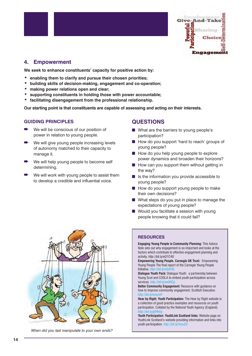

### **4. Empowerment**

**We seek to enhance constituents' capacity for positive action by:**

- **• enabling them to clarify and pursue their chosen priorities;**
- **• building skills of decision-making, engagement and co-operation;**
- **• making power relations open and clear;**
- **• supporting constituents in holding those with power accountable;**
- **• facilitating disengagement from the professional relationship.**

**Our starting point is that constituents are capable of assessing and acting on their interests.**

#### **GUIDING PRINCIPLES**

- ➨ We will be conscious of our position of power in relation to young people.
- We will give young people increasing levels of autonomy matched to their capacity to manage it.
- We will help young people to become self determining.
- We will work with young people to assist them to develop a credible and influential voice.

### **QUESTIONS**

- What are the barriers to young people's participation?
- How do you support 'hard to reach' groups of young people?
- How do you help young people to explore power dynamics and broaden their horizons?
- How can you support them without getting in the way?
- Is the information you provide accessible to young people?
- How do you support young people to make their own decisions?
- What steps do you put in place to manage the expectations of young people?
- Would you facilitate a session with young people knowing that it could fail?



*When did you last manipulate to your own ends?*

#### **RESOURCES**

**Engaging Young People in Community Planning:** This Advice Note sets out why engagement is so important and looks at the factors which contribute to effective engagement planning and activity. *http://bit.ly/eQ1C4G*

**Empowering Young People. Carnegie UK Trust:** Empowering Young People The final report of the Carnegie Young People Initiative. *http://bit.ly/eGAYXL*

**Dialogue Youth Pack:** Dialogue Youth: a partnership between Young Scot and COSLA to embed youth participation across services. *http://bit.ly/ex00Cg*

**Better Community Engagement:** Resource with guidance on how to improve community engagement. Scottish Executive. *http://bit.ly* 

**Hear by Right; Youth Participation:** The Hear by Right website is a collection of good practice examples and resources on youth participation. Collated by the National Youth Agency (England). *http://bit.ly/g9YeVg*

**Youth Participation: YouthLink Scotland links:** Website page on YouthLink Scotland's website providing information and links into youth participation. *http://bit.ly/fnou2G*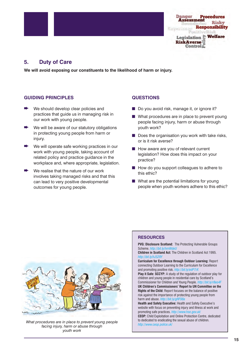

### **5. Duty of Care**

**We will avoid exposing our constituents to the likelihood of harm or injury.**

### **GUIDING PRINCIPLES**

- We should develop clear policies and practices that guide us in managing risk in our work with young people.
- We will be aware of our statutory obligations in protecting young people from harm or injury.
- We will operate safe working practices in our work with young people, taking account of related policy and practice guidance in the workplace and, where appropriate, legislation.
- We realise that the nature of our work involves taking managed risks and that this can lead to very positive developmental outcomes for young people.

### **QUESTIONS**

- Do you avoid risk, manage it, or ignore it?
- What procedures are in place to prevent young people facing injury, harm or abuse through youth work?
- Does the organisation you work with take risks, or is it risk averse?
- How aware are you of relevant current legislation? How does this impact on your practice?
- How do you support colleagues to adhere to this ethic?
- What are the potential limitations for young people when youth workers adhere to this ethic?



*What procedures are in place to prevent young people* to the that procedures are in place to prevent young people<br>*http://www.ceop.police.uk/ http://www.ceop.police.uk/ facing injury, harm or abuse through youth work*

#### **RESOURCES**

**PVG: Disclosure Scotland:** The Protecting Vulnerable Groups Scheme. *http://bit.ly/hmWdeU* **Children in Scotland Act:** The Children in Scotland Act 1995. *http://bit.ly/hJ529Y* **Curriculum for Excellence through Outdoor Learning:** Report connecting Outdoor Learning to the Curriculum for Excellence and promoting positive risk. *http://bit.ly/edP7rX* **Play it Safe: SCCYP:** A study of the regulation of outdoor play for children and young people in residential care by Scotland's Commissioner for Children and Young People. *http://bit.ly/r8eo4F* **UK Children's Commissioners' Report to UN Committee on the Rights of the Child:** Report focuses on the balance of positive risk against the importance of protecting young people from harm and abuse. *http://bit.ly/d* **Health and Safety Executive:** Health and Safety Executive's website with focus on preventing injury and illness at work and promoting safe practices. *http://www.hse.gov.uk/* **CEOP:** Child Exploitation and Online Protection Centre, dedicated to dedicated to eradicating the sexual abuse of children.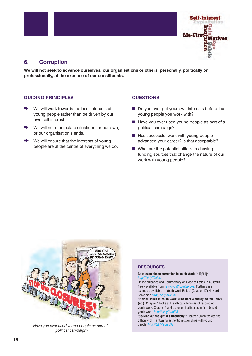

## **6. Corruption**

**We will not seek to advance ourselves, our organisations or others, personally, politically or professionally, at the expense of our constituents.**

### **GUIDING PRINCIPLES**

- We will work towards the best interests of young people rather than be driven by our own self interest.
- We will not manipulate situations for our own, or our organisation's ends.
- We will ensure that the interests of young people are at the centre of everything we do.

### **QUESTIONS**

- Do you ever put your own interests before the young people you work with?
- Have you ever used young people as part of a political campaign?
- Has successful work with young people advanced your career? Is that acceptable?
- What are the potential pitfalls in chasing funding sources that change the nature of our work with young people?



Have you ever used young people as part of a people. *http://bit.ly/eCwQlH political campaign?*

#### **RESOURCES**

#### **Case example on corruption in Youth Work (p10/11):** *http://bit.ly/ffddsN*.

Online guidance and Commentary on Code of Ethics in Australia freely available from: *www.youthcoalition.net* Further case examples available in 'Youth Work Ethics' (Chapter 17) Howard Sercombe http://bit.ly/eUn2k

**'Ethical issues in Youth Work' (Chapters 4 and 8): Sarah Banks (ed.):** Chapter 4 looks at the ethical dilemmas of resourcing youth work. Chapter 5 addresses ethical issues in faith-based youth work. *http://bit.ly/hUpj3A*

**'Seeking out the gift of authenticity.':** Heather Smith tackles the difficulty of maintaining authentic relationships with young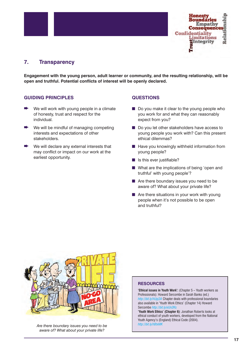

### **7. Transparency**

**Engagement with the young person, adult learner or community, and the resulting relationship, will be open and truthful. Potential conflicts of interest will be openly declared.**

### **GUIDING PRINCIPLES**

- We will work with young people in a climate of honesty, trust and respect for the individual.
- We will be mindful of managing competing interests and expectations of other stakeholders.
- We will declare any external interests that may conflict or impact on our work at the earliest opportunity.

#### **QUESTIONS**

- Do you make it clear to the young people who you work for and what they can reasonably expect from you?
- Do you let other stakeholders have access to young people you work with? Can this present ethical dilemmas?
- Have you knowingly withheld information from young people?
- Is this ever justifiable?
- What are the implications of being 'open and truthful' with young people'?
- Are there boundary issues you need to be aware of? What about your private life?
- Are there situations in your work with young people when it's not possible to be open and truthful?



*http://bit.ly/hBtxMK Are there boundary issues you need to be aware of? What about your private life?*

#### **RESOURCES**

**'Ethical issues in Youth Work':** (Chapter 5 – Youth workers as Professionals): Howard Sercombe in Sarah Banks (ed.) *http://bit.ly/hUpj3A* Chapter deals with professional boundaries also available in 'Youth Work Ethics' (Chapter 14) Howard Sercombe *http://bit.ly/eUn2* 

**'Youth Work Ethics' (Chapter 6)**: Jonathan Roberts looks at ethical conduct of youth workers, developed from the National Youth Agency's (England) Ethical Code (2004).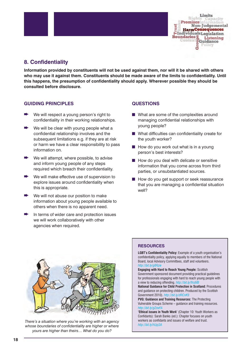## **8. Confidentiality**

**Information provided by constituents will not be used against them, nor will it be shared with others who may use it against them. Constituents should be made aware of the limits to confidentiality. Until this happens, the presumption of confidentiality should apply. Wherever possible they should be consulted before disclosure.**

### **GUIDING PRINCIPLES**

- We will respect a young person's right to confidentiality in their working relationships.
- We will be clear with young people what a confidential relationship involves and the subsequent limitations e.g. if they are at risk or harm we have a clear responsibility to pass information on.
- We will attempt, where possible, to advise and inform young people of any steps required which breach their confidentiality.
- We will make effective use of supervision to explore issues around confidentiality when this is appropriate.
- We will not abuse our position to make information about young people available to others when there is no apparent need.
- ➨ In terms of wider care and protection issues we will work collaboratively with other agencies when required.

### **QUESTIONS**

■ What are some of the complexities around managing confidential relationships with young people?

Limits

**Non-Judgemental HarmConsequences FIndividualsLegislation** Boundaries &<br>Listening<br>Context &<br>Cuidance

olicy

Rivelst **Promises** 

- What difficulties can confidentiality create for the youth worker?
- How do you work out what is in a young person's best interests?
- How do you deal with delicate or sensitive information that you come across from third parties, or unsubstantiated sources.
- How do you get support or seek reassurance that you are managing a confidential situation well?



*here's a situation where you're working with an agency* workers as confidential whose houndaries of confidentiality are higher or where *whose boundaries of confidentiality are higher or where yours are higher than theirs… What do you do?*

### **RESOURCES**

**LGBT's Confidentiality Policy:** Example of a youth organisation's confidentiality policy, applying equally to members of the National Board, local Advisory Committees, staff and volunteers. *http://bit.ly/g* 

**Engaging with Hard to Reach Young People:** Scottish Government sponsored document providing practical guidelines for professionals engaging with hard to reach young people with a view to reducing offending. *http://bit.ly/fIrsMB*

**National Guidance for Child Protection in Scotland:** Procedures and guidance on protecting children. Produced by the Scottish Government 2010). *http://bit.ly/dRCnK9*

**PVG: Guidance and Training Resources:** The Protecting Vulnerable Groups Scheme – guidance and training resources. *http://bit.ly/gZzwFA*

**'Ethical issues in Youth Work'** (Chapter 10: Youth Workers as Confidants): Sarah Banks (ed.): Chapter focuses on youth workers as confidants and issues of welfare and trust.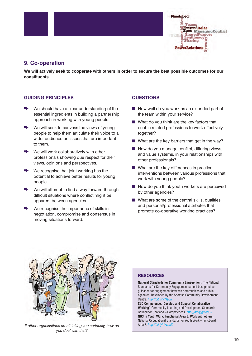

### **9. Co-operation**

**We will actively seek to cooperate with others in order to secure the best possible outcomes for our constituents.**

### **GUIDING PRINCIPLES**

- We should have a clear understanding of the essential ingredients in building a partnership approach in working with young people.
- We will seek to canvass the views of young people to help them articulate their voice to a wider audience on issues that are important to them.
- We will work collaboratively with other professionals showing due respect for their views, opinions and perspectives.
- We recognise that joint working has the potential to achieve better results for young people.
- We will attempt to find a way forward through difficult situations where conflict might be apparent between agencies.
- We recognise the importance of skills in negotiation, compromise and consensus in moving situations forward.

### **QUESTIONS**

- How well do you work as an extended part of the team within your service?
- What do you think are the key factors that enable related professions to work effectively together?
- What are the key barriers that get in the way?
- How do you manage conflict, differing views, and value systems, in your relationships with other professionals?
- What are the key differences in practice interventions between various professions that work with young people?
- How do you think youth workers are perceived by other agencies?
- What are some of the central skills, qualities and personal/professional attributes that promote co-operative working practices?



Area 3. *http://bit.ly/eVvUhS If other organisations aren't taking you seriously, how do you deal with that?*

### **RESOURCES**

**National Standards for Community Engagement:** The National Standards for Community Engagement set out best practice guidance for engagement between communities and public agencies. Developed by the Scottish Community Development Centre. *http://bit.ly/icHsUu*

**CLD Competence: 'Develop and Support Collaborative Working'**: Community Learning and Development Standards Council for Scotland – Competences. *http://bit.ly/gqYWJ5* **NOS in Youth Work. Functional Area 3: Work with others:** National Occupational Standards for Youth Work – Functional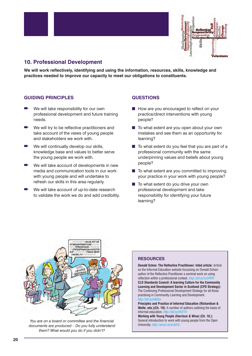

## **10. Professional Development**

**We will work reflectively, identifying and using the information, resources, skills, knowledge and practices needed to improve our capacity to meet our obligations to constituents.**

### **GUIDING PRINCIPLES**

- We will take responsibility for our own professional development and future training needs.
- We will try to be reflective practitioners and take account of the views of young people and stakeholders we work with.
- We will continually develop our skills, knowledge base and values to better serve the young people we work with.
- We will take account of developments in new media and communication tools in our work with young people and will undertake to refresh our skills in this area regularly.
- We will take account of up-to-date research to validate the work we do and add credibility.

### **QUESTIONS**

- How are you encouraged to reflect on your practice/direct interventions with young people?
- To what extent are you open about your own mistakes and see them as an opportunity for learning?
- To what extent do you feel that you are part of a professional community with the same underpinning values and beliefs about young people?
- To what extent are you committed to improving your practice in your work with young people?
- To what extent do you drive your own professional development and take responsibility for identifying your future learning?



*You are on a board or committee and the financial documents are produced – Do you fully understand them? What would you do if you didn't?*

### **RESOURCES**

**Donald Schon: The Reflective Practitioner: Infed article:** Article on the Informal Education website focussing on Donald Schon: author of the Reflective Practitioner a seminal work on using reflection within a professional context. *http://bit.ly/huSPKH* **CLD Standards Council: A learning Culture for the Community Learning and Development Sector in Scotland (CPD Strategy):** The Continuing Professional Development Strategy for all those practising in Community Learning and Development. *http://bit.ly/eIkEbv*

**Principles and Practice of Informal Education (Richardson & Wolfe; eds.)(Ch. 19):** A number of authors outlining the basis of informal education. *http://bit.ly/hhIT7h*

**Working with Young People (Harrison & Wise) (Ch. 16.):** General introduction to work with young people from the Open University. *http://amzn.to/erAZrG*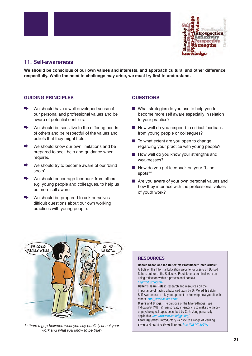

### **11. Self-awareness**

**We should be conscious of our own values and interests, and approach cultural and other difference respectfully. While the need to challenge may arise, we must try first to understand.**

### **GUIDING PRINCIPLES**

- We should have a well developed sense of our personal and professional values and be aware of potential conflicts.
- We should be sensitive to the differing needs of others and be respectful of the values and beliefs that they might hold.
- We should know our own limitations and be prepared to seek help and guidance when required.
- We should try to become aware of our 'blind spots'.
- We should encourage feedback from others, e.g. young people and colleagues, to help us be more self-aware.
- We should be prepared to ask ourselves difficult questions about our own working practices with young people.

### **QUESTIONS**

- What strategies do you use to help you to become more self aware especially in relation to your practice?
- How well do you respond to critical feedback from young people or colleagues?
- To what extent are you open to change regarding your practice with young people?
- How well do you know your strengths and weaknesses?
- How do you get feedback on your "blind" spots"?
- Are you aware of your own personal values and how they interface with the professional values of youth work?



Is there a gap between what you say publicly about your *work and what you know to be true?*

### **RESOURCES**

**Donald Schon and the Reflective Practitioner: Infed article:** Article on the Informal Education website focussing on Donald Schon: author of the Reflective Practitioner a seminal work on using reflection within a professional context. *http://bit.ly/huSPKH*

**Belbin's Team Roles:** Research and resources on the importance of having a balanced team by Dr Meredith Belbin. Self-Awareness is a key component on knowing how you fit with others. *http://www.belbin.com/*

**Myers and Briggs:** The purpose of the Myers-Briggs Type Indicator® (MBTI®) personality inventory is to make the theory of psychological types described by C. G. Jung personally applicable. *http://www.myersbriggs.org/*

**Learning Styles:** Introductory website to a range of learning styles and learning styles theories. *http://bit.ly/h3o3Wz*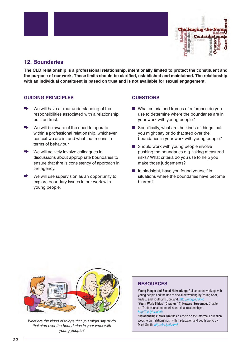

### **12. Boundaries**

**The CLD relationship is a professional relationship, intentionally limited to protect the constituent and the purpose of our work. These limits should be clarified, established and maintained. The relationship with an individual constituent is based on trust and is not available for sexual engagement.**

### **GUIDING PRINCIPLES**

- We will have a clear understanding of the responsibilities associated with a relationship built on trust.
- We will be aware of the need to operate within a professional relationship, whichever context we are in, and what that means in terms of behaviour.
- We will actively involve colleagues in discussions about appropriate boundaries to ensure that thre is consistency of approach in the agency.
- ➨ We will use supervision as an opportunity to explore boundary issues in our work with young people.

### **QUESTIONS**

- What criteria and frames of reference do you use to determine where the boundaries are in your work with young people?
- Specifically, what are the kinds of things that you might say or do that step over the boundaries in your work with young people?
- Should work with young people involve pushing the boundaries e.g. taking measured risks? What criteria do you use to help you make those judgements?
- In hindsight, have you found yourself in situations where the boundaries have become blurred?



*What are the kinds of things that you might say or do that step over the boundaries in your work with young people?*

### **RESOURCES**

**Young People and Social Networking:** Guidance on working with young people and the use of social networking by Young Scot, Fujitsu, and YouthLink Scotland. *http://bit.ly* **'Youth Work Ethics' (Chapter 14) Howard Sercombe:** Chapter on 'Professional boundaries and dual relationships'.

#### *http://bit.ly/eUn2Ks*

**'Relationships' Mark Smith:** An article on the Informal Education website on 'relationships' within education and youth work, by Mark Smith. *http://bit.ly/fLxxmE*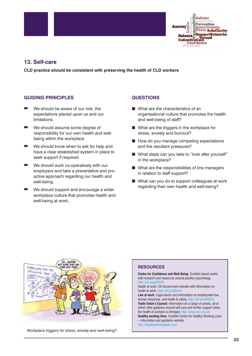

### **13. Self-care**

**CLD practice should be consistent with preserving the health of CLD workers**

### **GUIDING PRINCIPLES**

- We should be aware of our role, the expectations placed upon us and our limitations.
- We should assume some degree of responsibility for our own health and wellbeing within the workplace.
- We should know when to ask for help and have a clear established system in place to seek support if required.
- We should work co-operatively with our employers and take a preventative and proactive approach regarding our health and well-being.
- We should support and encourage a wider workplace culture that promotes health and well-being at work.

### **QUESTIONS**

- What are the characteristics of an organisational culture that promotes the health and well-being of staff?
- What are the triggers in the workplace for stress, anxiety and burnout?
- How do you manage competing expectations and the resultant pressures?
- What steps can you take to "look after yourself" in the workplace?
- What are the responsibilities of line managers in relation to staff support?
- What can you do to support colleagues at work regarding their own health and well-being?



*Workplace triggers for stress, anxiety and well-being?*

#### **RESOURCES**

**Centre for Confidence and Well-Being:** Scottish based centre with research and resources around positive psychology. *http://bit.ly/g8GSH9* Health at work: UK Government website with information on health at work. *http://bit.ly/fSSvvm* **Law at work:** Legal advice and information on employment law, human resources, and health & safety. *http://bit.ly/eWQVCu* **Trade Union's Council:** Information on a range of unions, all of which offer guidance around self-care and further support when the health of workers is infringed. *http://www.tuc.org.* **Healthy working lives.** Scottish Centre for Healthy Working Lives – information and guidance website. *http://healthyworkinglives.com*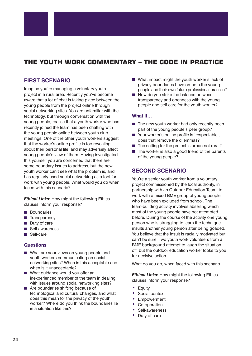# **THE YOUTH WORK COMMENTARY – THE CODE IN PRACTICE**

## **FIRST SCENARIO**

Imagine you're managing a voluntary youth project in a rural area. Recently you've become aware that a lot of chat is taking place between the young people from the project online through social networking sites. You are unfamiliar with the technology, but through conversation with the young people, realise that a youth worker who has recently joined the team has been chatting with the young people online between youth club meetings. One of the other youth workers suggest that the worker's online profile is too revealing about their personal life, and may adversely affect young people's view of them. Having investigated this yourself you are concerned that there are some boundary issues to address, but the new youth worker can't see what the problem is, and has regularly used social networking as a tool for work with young people. What would you do when faced with this scenario?

*Ethical Links:* How might the following Ethics clauses inform your response?

- Boundaries
- Transparency
- Duty of care
- Self-awareness
- Self-care

#### **Questions**

- What are your views on young people and youth workers communicating on social networking sites? When is this acceptable and when is it unacceptable?
- What quidance would you offer an inexperienced member of the team in dealing with issues around social networking sites?
- Are boundaries shifting because of technological and cultural changes, and what does this mean for the privacy of the youth worker? Where do you think the boundaries lie in a situation like this?
- What impact might the youth worker's lack of privacy boundaries have on both the young people and their own future professional practice?
- How do you strike the balance between transparency and openness with the young people and self-care for the youth worker?

### **What if…**

- The new youth worker had only recently been part of the young people's peer group?
- Your worker's online profile is 'respectable', does that remove the dilemmas?
- The setting for the project is urban not rural?
- The worker is also a good friend of the parents of the young people?

### **SECOND SCENARIO**

You're a senior youth worker from a voluntary project commissioned by the local authority, in partnership with an Outdoor Education Team, to work with a mixed BME group of young people, who have been excluded from school. The team-building activity involves abseiling which most of the young people have not attempted before. During the course of the activity one young person who is struggling to learn the technique insults another young person after being goaded. You believe that the insult is racially motivated but can't be sure. Two youth work volunteers from a BME background attempt to laugh the situation off, but the outdoor education worker looks to you for decisive action.

What do you do, when faced with this scenario

*Ethical Links:* How might the following Ethics clauses inform your response?

- Equity
- Social context
- **Empowerment**
- Co-operation
- Self-awareness
- Duty of care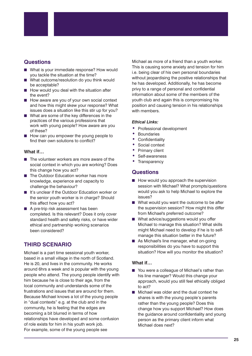### **Questions**

- What is your immediate response? How would you tackle the situation at the time?
- What outcome/resolution do you think would be acceptable?
- How would you deal with the situation after the event?
- How aware are you of your own social context and how this might skew your response? What issues does a situation like this stir up for you?
- What are some of the key differences in the practices of the various professions that work with young people? How aware are you of these?
- How can you empower the young people to find their own solutions to conflict?

### **What if…**

- The volunteer workers are more aware of the social context in which you are working? Does this change how you act?
- The Outdoor Education worker has more knowledge, experience and capacity to challenge the behaviour?
- It's unclear if the Outdoor Education worker or the senior youth worker is in charge? Should this affect how you act?
- A pre-trip risk assessment has been completed. Is this relevant? Does it only cover standard health and safety risks, or have wider ethical and partnership working scenarios been considered?

## **THIRD SCENARIO**

Michael is a part time sessional youth worker, based in a small village in the north of Scotland. He is 20, and lives in the community. He works around 6hrs a week and is popular with the young people who attend. The young people identify with him because he is close to their age, from the local community and understands some of the frustrations and issues that are around for them. Because Michael knows a lot of the young people in "dual contexts" e.g. at the club and in the community, he is feeling that the edges are becoming a bit blurred in terms of how relationships have developed and some confusion of role exists for him in his youth work job. For example, some of the young people see

Michael as more of a friend than a youth worker. This is causing some anxiety and tension for him i.e. being clear of his own personal boundaries without jeopardising the positive relationships that he has developed. Additionally, he has become privy to a range of personal and confidential information about some of the members of the youth club and again this is compromising his position and causing tension in his relationships with members.

#### *Ethical Links:*

- Professional development
- Boundaries
- **Confidentiality**
- Social context
- Primary client
- Self-awareness
- Transparency

### **Questions**

- How would you approach the supervision session with Michael? What prompts/questions would you ask to help Michael to explore the issues?
- What would you want the outcome to be after the supervision session? How might this differ from Michael's preferred outcome?
- What advice/suggestions would you offer Michael to manage this situation? What skills might Michael need to develop if he is to selfmanage this situation better in the future?
- As Michael's line manager, what on-going responsibilities do you have to support this situation? How will you monitor the situation?

### **What if…**

- You were a colleague of Michael's rather than his line manager? Would this change your approach, would you still feel ethically obliged to act?
- Michael was older and the dual context he shares is with the young people's parents rather than the young people? Does this change how you support Michael? How does the guidance around confidentiality and young person as the primary client inform what Michael does next?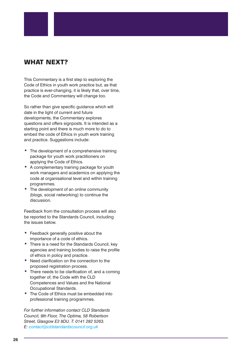## **WHAT NEXT?**

This Commentary is a first step to exploring the Code of Ethics in youth work practice but, as that practice is ever-changing, it is likely that, over time, the Code and Commentary will change too.

So rather than give specific guidance which will date in the light of current and future developments, the Commentary explores questions and offers signposts. It is intended as a starting point and there is much more to do to embed the code of Ethics in youth work training and practice. Suggestions include:

- The development of a comprehensive training package for youth work practitioners on applying the Code of Ethics.
- A complementary training package for youth work managers and academics on applying the code at organisational level and within training programmes.
- The development of an online community (blogs, social networking) to continue the discussion.

Feedback from the consultation process will also be reported to the Standards Council, including the issues below.

- Feedback generally positive about the importance of a code of ethics.
- There is a need for the Standards Council, key agencies and training bodies to raise the profile of ethics in policy and practice.
- Need clarification on the connection to the proposed registration process.
- There needs to be clarification of, and a coming together of, the Code with the CLD Competences and Values and the National Occupational Standards.
- The Code of Ethics must be embedded into professional training programmes.

*For further information contact CLD Standards Council, 9th Floor, The Optima, 58 Robertson Street, Glasgow E2 8DU. T: 0141 282 5263. E: contact@cldstandardscouncil.org.uk*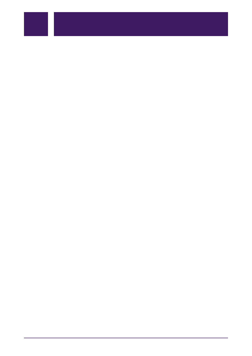